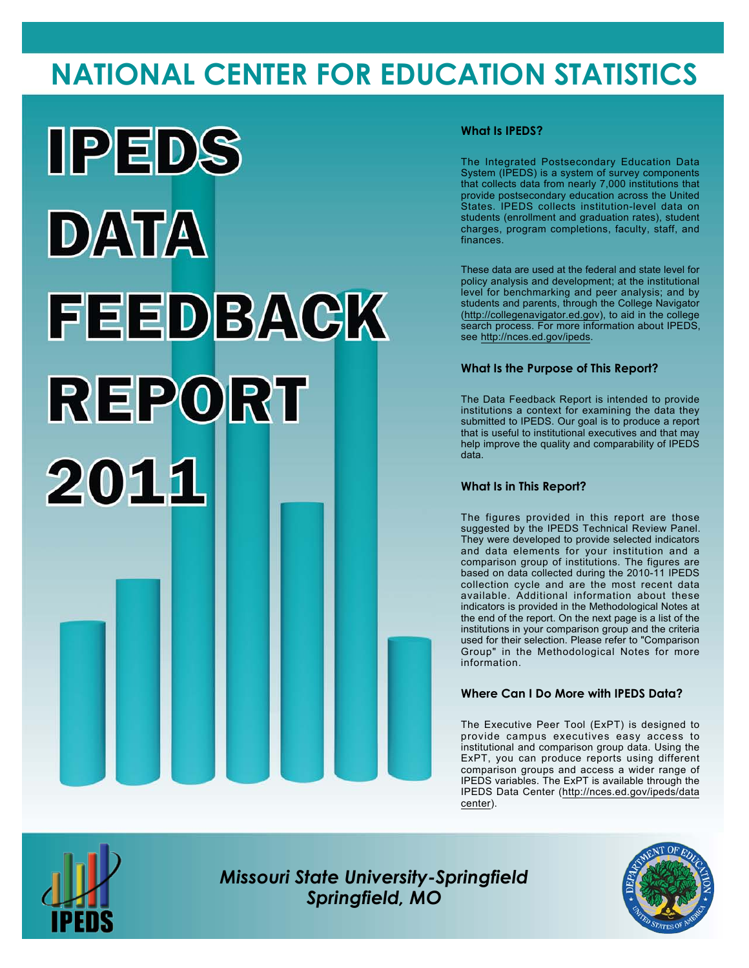# **NATIONAL CENTER FOR EDUCATION STATISTICS**



## **What Is IPEDS?**

The Integrated Postsecondary Education Data System (IPEDS) is a system of survey components that collects data from nearly 7,000 institutions that provide postsecondary education across the United States. IPEDS collects institution-level data on students (enrollment and graduation rates), student charges, program completions, faculty, staff, and finances.

These data are used at the federal and state level for policy analysis and development; at the institutional level for benchmarking and peer analysis; and by students and parents, through the College Navigator (<http://collegenavigator.ed.gov>), to aid in the college search process. For more information about IPEDS, see [http://nces.ed.gov/ipeds.](http://nces.ed.gov/ipeds)

### **What Is the Purpose of This Report?**

The Data Feedback Report is intended to provide institutions a context for examining the data they submitted to IPEDS. Our goal is to produce a report that is useful to institutional executives and that may help improve the quality and comparability of IPEDS data.

### **What Is in This Report?**

The figures provided in this report are those suggested by the IPEDS Technical Review Panel. They were developed to provide selected indicators and data elements for your institution and a comparison group of institutions. The figures are based on data collected during the 2010-11 IPEDS collection cycle and are the most recent data available. Additional information about these indicators is provided in the Methodological Notes at the end of the report. On the next page is a list of the institutions in your comparison group and the criteria used for their selection. Please refer to "Comparison Group" in the Methodological Notes for more information.

### **Where Can I Do More with IPEDS Data?**

The Executive Peer Tool (ExPT) is designed to provide campus executives easy access to institutional and comparison group data. Using the ExPT, you can produce reports using different comparison groups and access a wider range of IPEDS variables. The ExPT is available through the IPEDS Data Center ([http://nces.ed.gov/ipeds/data](http://nces.ed.gov/ipeds/datacenter) [center](http://nces.ed.gov/ipeds/datacenter)).



Image description. Cover Image End of image description.

*Missouri State University-Springfield Springfield, MO*

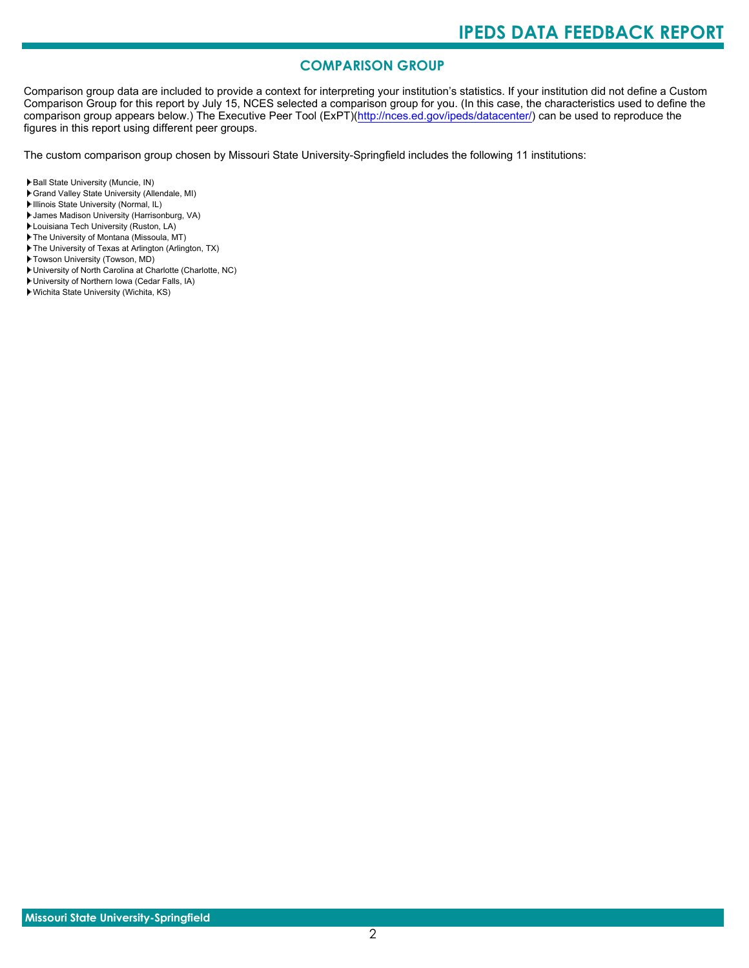# **COMPARISON GROUP**

Comparison group data are included to provide a context for interpreting your institution's statistics. If your institution did not define a Custom Comparison Group for this report by July 15, NCES selected a comparison group for you. (In this case, the characteristics used to define the comparison group appears below.) The Executive Peer Tool (ExPT)[\(http://nces.ed.gov/ipeds/datacenter/\)](http://nces.ed.gov/ipeds/datacenter/) can be used to reproduce the figures in this report using different peer groups.

The custom comparison group chosen by Missouri State University-Springfield includes the following 11 institutions:

- Ball State University (Muncie, IN)
- Grand Valley State University (Allendale, MI)
- Illinois State University (Normal, IL)
- James Madison University (Harrisonburg, VA)
- Louisiana Tech University (Ruston, LA)
- The University of Montana (Missoula, MT)
- The University of Texas at Arlington (Arlington, TX)
- Towson University (Towson, MD)
- University of North Carolina at Charlotte (Charlotte, NC)
- University of Northern Iowa (Cedar Falls, IA)
- Wichita State University (Wichita, KS)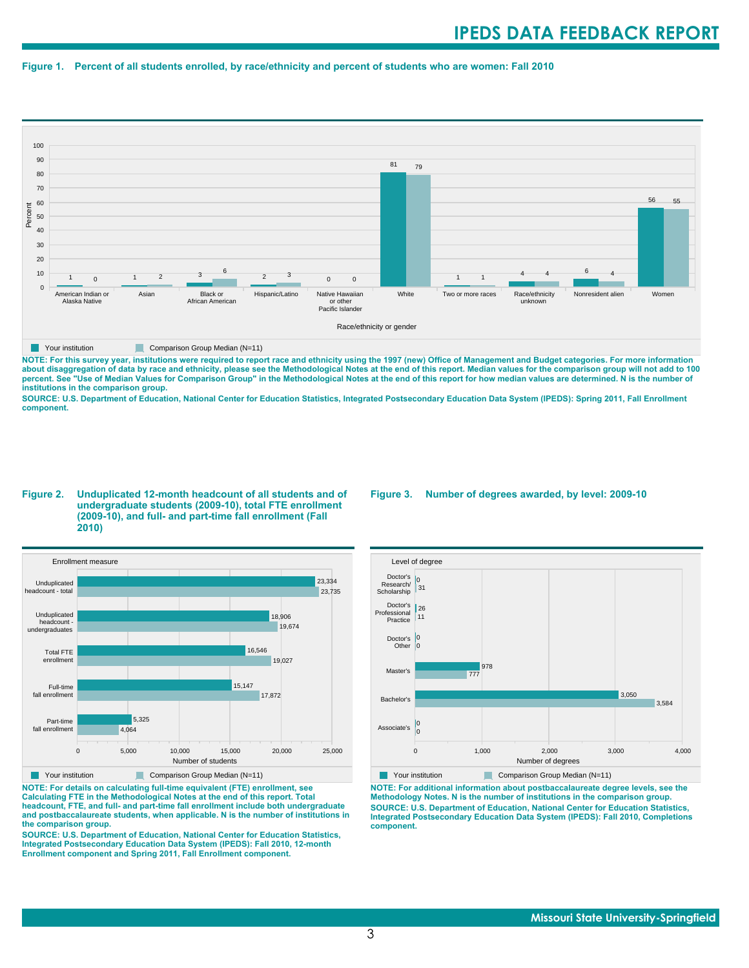#### **Figure 1. Percent of all students enrolled, by race/ethnicity and percent of students who are women: Fall 2010**



**NOTE: For this survey year, institutions were required to report race and ethnicity using the 1997 (new) Office of Management and Budget categories. For more information** about disaggregation of data by race and ethnicity, please see the Methodological Notes at the end of this report. Median values for the comparison group will not add to 100<br>percent. See "Use of Median Values for Compariso **institutions in the comparison group.**

**SOURCE: U.S. Department of Education, National Center for Education Statistics, Integrated Postsecondary Education Data System (IPEDS): Spring 2011, Fall Enrollment component.**

#### **Figure 2. Unduplicated 12-month headcount of all students and of undergraduate students (2009-10), total FTE enrollment (2009-10), and full- and part-time fall enrollment (Fall 2010)**



**NOTE: For details on calculating full-time equivalent (FTE) enrollment, see Calculating FTE in the Methodological Notes at the end of this report. Total headcount, FTE, and full- and part-time fall enrollment include both undergraduate and postbaccalaureate students, when applicable. N is the number of institutions in the comparison group.**

**SOURCE: U.S. Department of Education, National Center for Education Statistics, Integrated Postsecondary Education Data System (IPEDS): Fall 2010, 12-month Enrollment component and Spring 2011, Fall Enrollment component.**

#### **Figure 3. Number of degrees awarded, by level: 2009-10**



**NOTE: For additional information about postbaccalaureate degree levels, see the Methodology Notes. N is the number of institutions in the comparison group. SOURCE: U.S. Department of Education, National Center for Education Statistics, Integrated Postsecondary Education Data System (IPEDS): Fall 2010, Completions component.**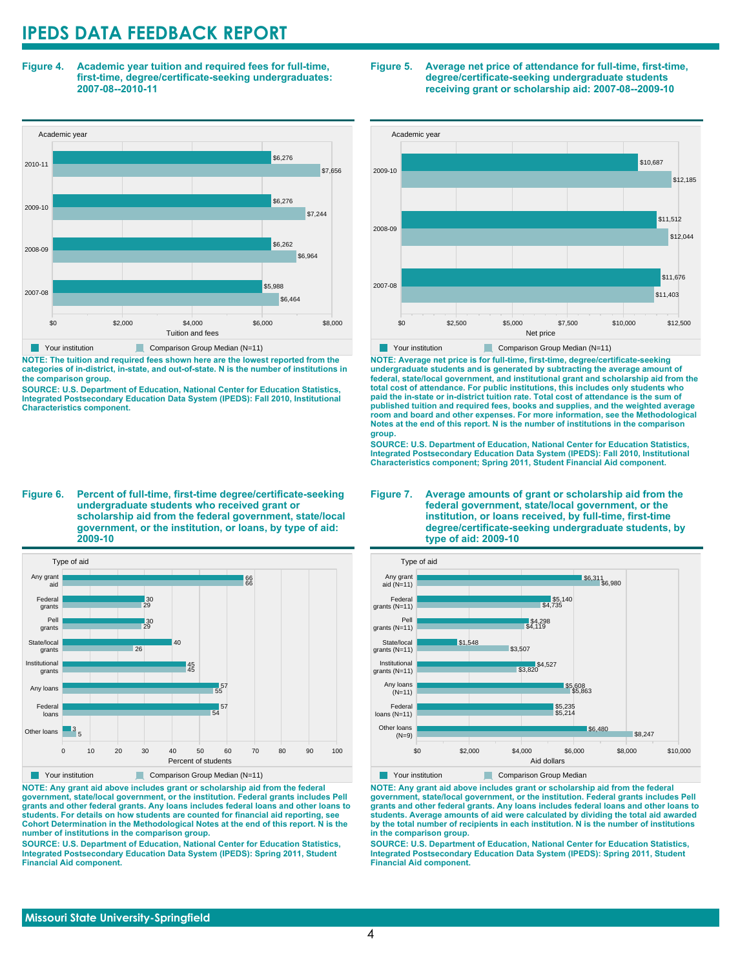**Figure 4. Academic year tuition and required fees for full-time, first-time, degree/certificate-seeking undergraduates: 2007-08--2010-11**



**NOTE: The tuition and required fees shown here are the lowest reported from the categories of in-district, in-state, and out-of-state. N is the number of institutions in the comparison group.**

**SOURCE: U.S. Department of Education, National Center for Education Statistics, Integrated Postsecondary Education Data System (IPEDS): Fall 2010, Institutional Characteristics component.**

**Figure 6. Percent of full-time, first-time degree/certificate-seeking undergraduate students who received grant or scholarship aid from the federal government, state/local government, or the institution, or loans, by type of aid: 2009-10**



**NOTE: Any grant aid above includes grant or scholarship aid from the federal government, state/local government, or the institution. Federal grants includes Pell grants and other federal grants. Any loans includes federal loans and other loans to students. For details on how students are counted for financial aid reporting, see Cohort Determination in the Methodological Notes at the end of this report. N is the**

**SOURCE: U.S. Department of Education, National Center for Education Statistics, Integrated Postsecondary Education Data System (IPEDS): Spring 2011, Student Financial Aid component.**

#### **Figure 5. Average net price of attendance for full-time, first-time, degree/certificate-seeking undergraduate students receiving grant or scholarship aid: 2007-08--2009-10**



**NOTE: Average net price is for full-time, first-time, degree/certificate-seeking undergraduate students and is generated by subtracting the average amount of federal, state/local government, and institutional grant and scholarship aid from the total cost of attendance. For public institutions, this includes only students who paid the in-state or in-district tuition rate. Total cost of attendance is the sum of published tuition and required fees, books and supplies, and the weighted average room and board and other expenses. For more information, see the Methodological Notes at the end of this report. N is the number of institutions in the comparison group.**

**SOURCE: U.S. Department of Education, National Center for Education Statistics, Integrated Postsecondary Education Data System (IPEDS): Fall 2010, Institutional Characteristics component; Spring 2011, Student Financial Aid component.**

#### **Figure 7. Average amounts of grant or scholarship aid from the federal government, state/local government, or the institution, or loans received, by full-time, first-time degree/certificate-seeking undergraduate students, by type of aid: 2009-10**



**NOTE: Any grant aid above includes grant or scholarship aid from the federal government, state/local government, or the institution. Federal grants includes Pell grants and other federal grants. Any loans includes federal loans and other loans to students. Average amounts of aid were calculated by dividing the total aid awarded by the total number of recipients in each institution. N is the number of institutions in the comparison group.**

**SOURCE: U.S. Department of Education, National Center for Education Statistics, Integrated Postsecondary Education Data System (IPEDS): Spring 2011, Student Financial Aid component.**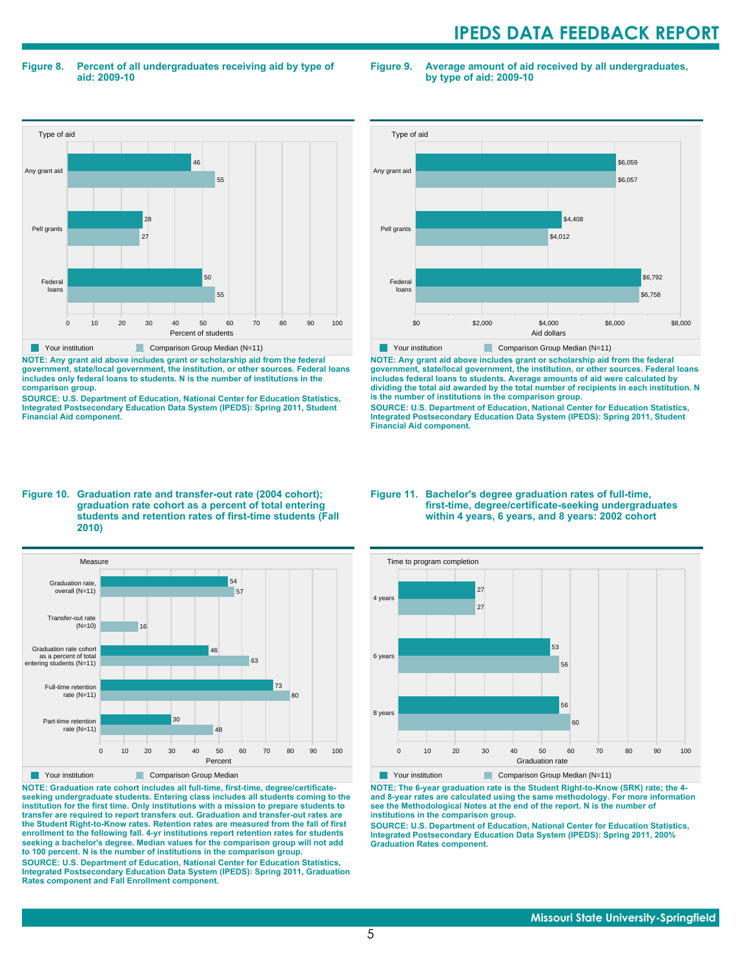#### **Figure 8. Percent of all undergraduates receiving aid by type of aid: 2009-10**

**Figure 9. Average amount of aid received by all undergraduates, by type of aid: 2009-10**



**NOTE: Any grant aid above includes grant or scholarship aid from the federal government, state/local government, the institution, or other sources. Federal loans includes only federal loans to students. N is the number of institutions in the comparison group.**

**SOURCE: U.S. Department of Education, National Center for Education Statistics, Integrated Postsecondary Education Data System (IPEDS): Spring 2011, Student Financial Aid component.**



**NOTE: Any grant aid above includes grant or scholarship aid from the federal government, state/local government, the institution, or other sources. Federal loans includes federal loans to students. Average amounts of aid were calculated by dividing the total aid awarded by the total number of recipients in each institution. N is the number of institutions in the comparison group.**

**SOURCE: U.S. Department of Education, National Center for Education Statistics, Integrated Postsecondary Education Data System (IPEDS): Spring 2011, Student Financial Aid component.**

#### **Figure 10. Graduation rate and transfer-out rate (2004 cohort); graduation rate cohort as a percent of total entering students and retention rates of first-time students (Fall 2010)**



**NOTE: Graduation rate cohort includes all full-time, first-time, degree/certificateseeking undergraduate students. Entering class includes all students coming to the institution for the first time. Only institutions with a mission to prepare students to transfer are required to report transfers out. Graduation and transfer-out rates are the Student Right-to-Know rates. Retention rates are measured from the fall of first enrollment to the following fall. 4-yr institutions report retention rates for students seeking a bachelor's degree. Median values for the comparison group will not add to 100 percent. N is the number of institutions in the comparison group.**

**SOURCE: U.S. Department of Education, National Center for Education Statistics, Integrated Postsecondary Education Data System (IPEDS): Spring 2011, Graduation Rates component and Fall Enrollment component.**

#### **Figure 11. Bachelor's degree graduation rates of full-time, first-time, degree/certificate-seeking undergraduates within 4 years, 6 years, and 8 years: 2002 cohort**



**NOTE: The 6-year graduation rate is the Student Right-to-Know (SRK) rate; the 4 and 8-year rates are calculated using the same methodology. For more information see the Methodological Notes at the end of the report. N is the number of institutions in the comparison group.**

**SOURCE: U.S. Department of Education, National Center for Education Statistics, Integrated Postsecondary Education Data System (IPEDS): Spring 2011, 200% Graduation Rates component.**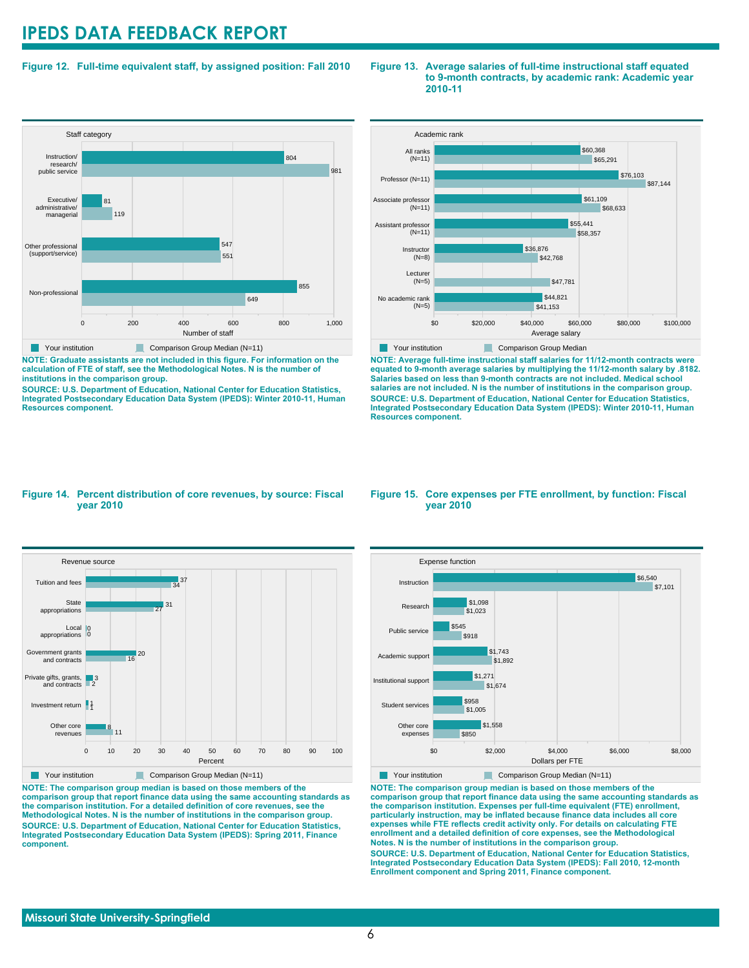### **Figure 12. Full-time equivalent staff, by assigned position: Fall 2010**

#### **Staff category** 0 200 400 600 800 1,000 Number of staff Non-professional Other professional (support/service) Executive/ administrative/ managerial Instruction/ research/ public service 649 855 551 547 119 81 981 804 Your institution **Comparison Group Median (N=11)**

**NOTE: Graduate assistants are not included in this figure. For information on the calculation of FTE of staff, see the Methodological Notes. N is the number of institutions in the comparison group.**

**SOURCE: U.S. Department of Education, National Center for Education Statistics, Integrated Postsecondary Education Data System (IPEDS): Winter 2010-11, Human Resources component.**

#### **Figure 13. Average salaries of full-time instructional staff equated to 9-month contracts, by academic rank: Academic year 2010-11**



**NOTE: Average full-time instructional staff salaries for 11/12-month contracts were equated to 9-month average salaries by multiplying the 11/12-month salary by .8182. Salaries based on less than 9-month contracts are not included. Medical school salaries are not included. N is the number of institutions in the comparison group. SOURCE: U.S. Department of Education, National Center for Education Statistics, Integrated Postsecondary Education Data System (IPEDS): Winter 2010-11, Human Resources component.**

#### **Figure 14. Percent distribution of core revenues, by source: Fiscal year 2010**



**NOTE: The comparison group median is based on those members of the comparison group that report finance data using the same accounting standards as the comparison institution. For a detailed definition of core revenues, see the Methodological Notes. N is the number of institutions in the comparison group. SOURCE: U.S. Department of Education, National Center for Education Statistics, Integrated Postsecondary Education Data System (IPEDS): Spring 2011, Finance component.**

#### **Figure 15. Core expenses per FTE enrollment, by function: Fiscal year 2010**



**Your institution** Comparison Group Median (N=11)

**NOTE: The comparison group median is based on those members of the comparison group that report finance data using the same accounting standards as the comparison institution. Expenses per full-time equivalent (FTE) enrollment, particularly instruction, may be inflated because finance data includes all core expenses while FTE reflects credit activity only. For details on calculating FTE enrollment and a detailed definition of core expenses, see the Methodological Notes. N is the number of institutions in the comparison group. SOURCE: U.S. Department of Education, National Center for Education Statistics, Integrated Postsecondary Education Data System (IPEDS): Fall 2010, 12-month Enrollment component and Spring 2011, Finance component.**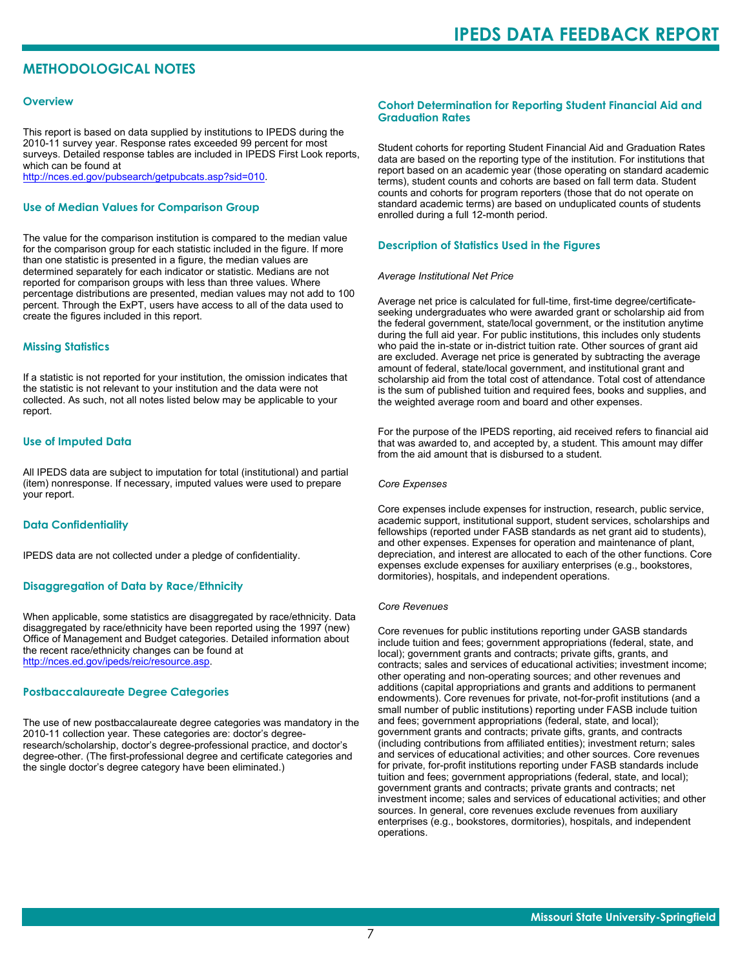# **METHODOLOGICAL NOTES**

#### **Overview**

This report is based on data supplied by institutions to IPEDS during the 2010-11 survey year. Response rates exceeded 99 percent for most surveys. Detailed response tables are included in IPEDS First Look reports, which can be found at [http://nces.ed.gov/pubsearch/getpubcats.asp?sid=010.](http://nces.ed.gov/pubsearch/getpubcats.asp?sid=010)

#### **Use of Median Values for Comparison Group**

The value for the comparison institution is compared to the median value for the comparison group for each statistic included in the figure. If more than one statistic is presented in a figure, the median values are determined separately for each indicator or statistic. Medians are not reported for comparison groups with less than three values. Where percentage distributions are presented, median values may not add to 100 percent. Through the ExPT, users have access to all of the data used to create the figures included in this report.

#### **Missing Statistics**

If a statistic is not reported for your institution, the omission indicates that the statistic is not relevant to your institution and the data were not collected. As such, not all notes listed below may be applicable to your report.

#### **Use of Imputed Data**

All IPEDS data are subject to imputation for total (institutional) and partial (item) nonresponse. If necessary, imputed values were used to prepare your report.

#### **Data Confidentiality**

IPEDS data are not collected under a pledge of confidentiality.

#### **Disaggregation of Data by Race/Ethnicity**

When applicable, some statistics are disaggregated by race/ethnicity. Data disaggregated by race/ethnicity have been reported using the 1997 (new) Office of Management and Budget categories. Detailed information about the recent race/ethnicity changes can be found at <http://nces.ed.gov/ipeds/reic/resource.asp>.

#### **Postbaccalaureate Degree Categories**

The use of new postbaccalaureate degree categories was mandatory in the 2010-11 collection year. These categories are: doctor's degreeresearch/scholarship, doctor's degree-professional practice, and doctor's degree-other. (The first-professional degree and certificate categories and the single doctor's degree category have been eliminated.)

#### **Cohort Determination for Reporting Student Financial Aid and Graduation Rates**

Student cohorts for reporting Student Financial Aid and Graduation Rates data are based on the reporting type of the institution. For institutions that report based on an academic year (those operating on standard academic terms), student counts and cohorts are based on fall term data. Student counts and cohorts for program reporters (those that do not operate on standard academic terms) are based on unduplicated counts of students enrolled during a full 12-month period.

#### **Description of Statistics Used in the Figures**

#### *Average Institutional Net Price*

Average net price is calculated for full-time, first-time degree/certificateseeking undergraduates who were awarded grant or scholarship aid from the federal government, state/local government, or the institution anytime during the full aid year. For public institutions, this includes only students who paid the in-state or in-district tuition rate. Other sources of grant aid are excluded. Average net price is generated by subtracting the average amount of federal, state/local government, and institutional grant and scholarship aid from the total cost of attendance. Total cost of attendance is the sum of published tuition and required fees, books and supplies, and the weighted average room and board and other expenses.

For the purpose of the IPEDS reporting, aid received refers to financial aid that was awarded to, and accepted by, a student. This amount may differ from the aid amount that is disbursed to a student.

#### *Core Expenses*

Core expenses include expenses for instruction, research, public service, academic support, institutional support, student services, scholarships and fellowships (reported under FASB standards as net grant aid to students), and other expenses. Expenses for operation and maintenance of plant, depreciation, and interest are allocated to each of the other functions. Core expenses exclude expenses for auxiliary enterprises (e.g., bookstores, dormitories), hospitals, and independent operations.

#### *Core Revenues*

Core revenues for public institutions reporting under GASB standards include tuition and fees; government appropriations (federal, state, and local); government grants and contracts; private gifts, grants, and contracts; sales and services of educational activities; investment income; other operating and non-operating sources; and other revenues and additions (capital appropriations and grants and additions to permanent endowments). Core revenues for private, not-for-profit institutions (and a small number of public institutions) reporting under FASB include tuition and fees; government appropriations (federal, state, and local); government grants and contracts; private gifts, grants, and contracts (including contributions from affiliated entities); investment return; sales and services of educational activities; and other sources. Core revenues for private, for-profit institutions reporting under FASB standards include tuition and fees; government appropriations (federal, state, and local); government grants and contracts; private grants and contracts; net investment income; sales and services of educational activities; and other sources. In general, core revenues exclude revenues from auxiliary enterprises (e.g., bookstores, dormitories), hospitals, and independent operations.